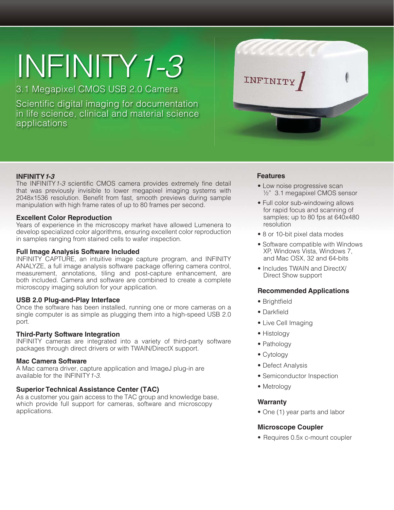# INFINITY*1-3*

3.1 Megapixel CMOS USB 2.0 Camera

Scientific digital imaging for documentation in life science, clinical and material science applications



### **INFINITY1-3**

The INFINITY*1-3* scientific CMOS camera provides extremely fine detail that was previously invisible to lower megapixel imaging systems with 2048x1536 resolution. Benefit from fast, smooth previews during sample manipulation with high frame rates of up to 80 frames per second.

### **Excellent Color Reproduction**

Years of experience in the microscopy market have allowed Lumenera to develop specialized color algorithms, ensuring excellent color reproduction in samples ranging from stained cells to wafer inspection.

### **Full Image Analysis Software Included**

INFINITY CAPTURE, an intuitive image capture program, and INFINITY ANALYZE, a full image analysis software package offering camera control, measurement, annotations, tiling and post-capture enhancement, are both included. Camera and software are combined to create a complete microscopy imaging solution for your application.

### **USB 2.0 Plug-and-Play Interface**

Once the software has been installed, running one or more cameras on a single computer is as simple as plugging them into a high-speed USB 2.0 port.

### **Third-Party Software Integration**

INFINITY cameras are integrated into a variety of third-party software packages through direct drivers or with TWAIN/DirectX support.

### **Mac Camera Software**

A Mac camera driver, capture application and ImageJ plug-in are available for the INFINITY*1-3*.

# **Superior Technical Assistance Center (TAC)**

As a customer you gain access to the TAC group and knowledge base, which provide full support for cameras, software and microscopy applications.

### **Features**

- Low noise progressive scan ½" 3.1 megapixel CMOS sensor
- Full color sub-windowing allows for rapid focus and scanning of samples; up to 80 fps at 640x480 resolution
- 8 or 10-bit pixel data modes
- Software compatible with Windows XP, Windows Vista, Windows 7, and Mac OSX, 32 and 64-bits
- Includes TWAIN and DirectX/ Direct Show support

### **Recommended Applications**

- Brightfield
- Darkfield
- Live Cell Imaging
- Histology
- Pathology
- Cytology
- Defect Analysis
- Semiconductor Inspection
- Metrology

### **Warranty**

• One (1) year parts and labor

# **Microscope Coupler**

• Requires 0.5x c-mount coupler